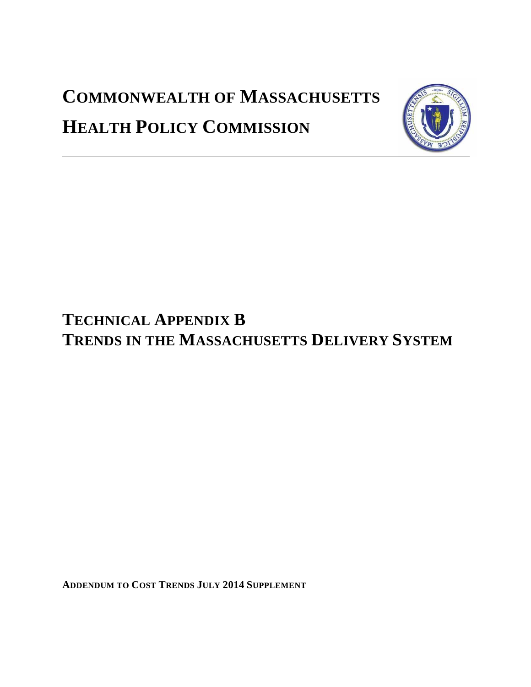# **COMMONWEALTH OF MASSACHUSETTS HEALTH POLICY COMMISSION**



# **TECHNICAL APPENDIX B TRENDS IN THE MASSACHUSETTS DELIVERY SYSTEM**

**ADDENDUM TO COST TRENDS JULY 2014 SUPPLEMENT**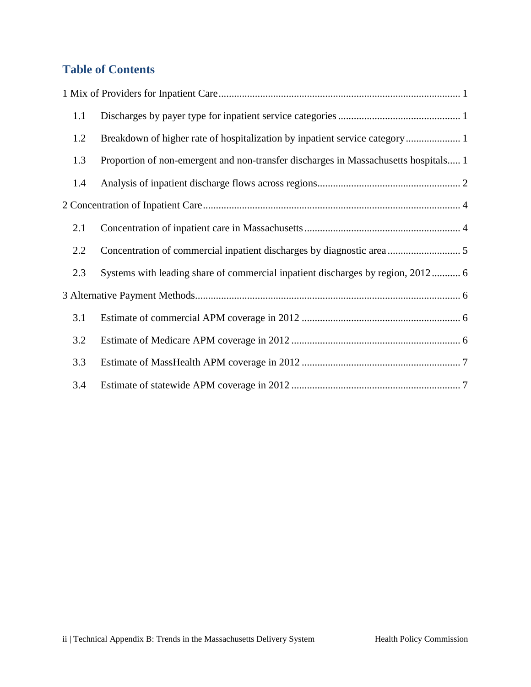# **Table of Contents**

| 1.1 |                                                                                     |
|-----|-------------------------------------------------------------------------------------|
| 1.2 |                                                                                     |
| 1.3 | Proportion of non-emergent and non-transfer discharges in Massachusetts hospitals 1 |
| 1.4 |                                                                                     |
|     |                                                                                     |
| 2.1 |                                                                                     |
| 2.2 |                                                                                     |
| 2.3 | Systems with leading share of commercial inpatient discharges by region, 2012 6     |
|     |                                                                                     |
| 3.1 |                                                                                     |
| 3.2 |                                                                                     |
| 3.3 |                                                                                     |
| 3.4 |                                                                                     |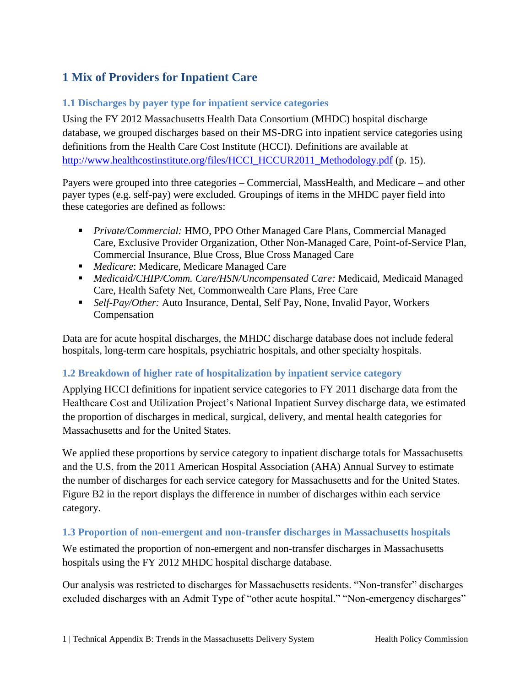# <span id="page-2-0"></span>**1 Mix of Providers for Inpatient Care**

# <span id="page-2-1"></span>**1.1 Discharges by payer type for inpatient service categories**

Using the FY 2012 Massachusetts Health Data Consortium (MHDC) hospital discharge database, we grouped discharges based on their MS-DRG into inpatient service categories using definitions from the Health Care Cost Institute (HCCI). Definitions are available at [http://www.healthcostinstitute.org/files/HCCI\\_HCCUR2011\\_Methodology.pdf](http://www.healthcostinstitute.org/files/HCCI_HCCUR2011_Methodology.pdf) (p. 15).

Payers were grouped into three categories – Commercial, MassHealth, and Medicare – and other payer types (e.g. self-pay) were excluded. Groupings of items in the MHDC payer field into these categories are defined as follows:

- *Private/Commercial:* HMO, PPO Other Managed Care Plans, Commercial Managed Care, Exclusive Provider Organization, Other Non-Managed Care, Point-of-Service Plan, Commercial Insurance, Blue Cross, Blue Cross Managed Care
- *Medicare*: Medicare, Medicare Managed Care
- *Medicaid/CHIP/Comm. Care/HSN/Uncompensated Care:* Medicaid, Medicaid Managed Care, Health Safety Net, Commonwealth Care Plans, Free Care
- *Self-Pay/Other:* Auto Insurance, Dental, Self Pay, None, Invalid Payor, Workers Compensation

Data are for acute hospital discharges, the MHDC discharge database does not include federal hospitals, long-term care hospitals, psychiatric hospitals, and other specialty hospitals.

# <span id="page-2-2"></span>**1.2 Breakdown of higher rate of hospitalization by inpatient service category**

Applying HCCI definitions for inpatient service categories to FY 2011 discharge data from the Healthcare Cost and Utilization Project's National Inpatient Survey discharge data, we estimated the proportion of discharges in medical, surgical, delivery, and mental health categories for Massachusetts and for the United States.

We applied these proportions by service category to inpatient discharge totals for Massachusetts and the U.S. from the 2011 American Hospital Association (AHA) Annual Survey to estimate the number of discharges for each service category for Massachusetts and for the United States. Figure B2 in the report displays the difference in number of discharges within each service category.

## <span id="page-2-3"></span>**1.3 Proportion of non-emergent and non-transfer discharges in Massachusetts hospitals**

We estimated the proportion of non-emergent and non-transfer discharges in Massachusetts hospitals using the FY 2012 MHDC hospital discharge database.

Our analysis was restricted to discharges for Massachusetts residents. "Non-transfer" discharges excluded discharges with an Admit Type of "other acute hospital." "Non-emergency discharges"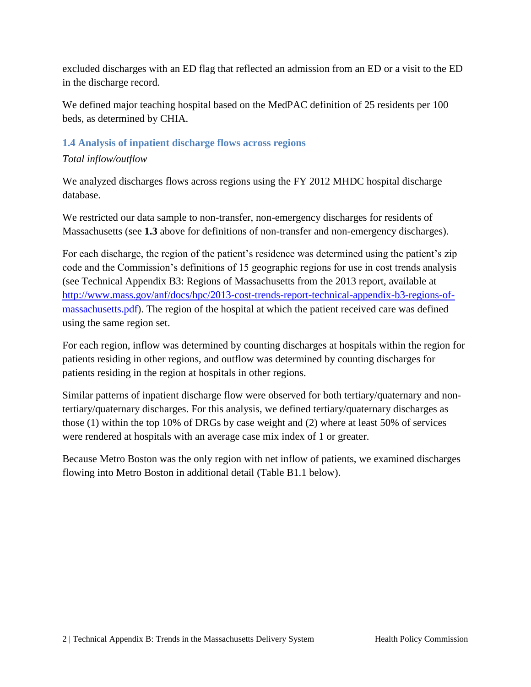excluded discharges with an ED flag that reflected an admission from an ED or a visit to the ED in the discharge record.

We defined major teaching hospital based on the MedPAC definition of 25 residents per 100 beds, as determined by CHIA.

## <span id="page-3-0"></span>**1.4 Analysis of inpatient discharge flows across regions**

## *Total inflow/outflow*

We analyzed discharges flows across regions using the FY 2012 MHDC hospital discharge database.

We restricted our data sample to non-transfer, non-emergency discharges for residents of Massachusetts (see **1.3** above for definitions of non-transfer and non-emergency discharges).

For each discharge, the region of the patient's residence was determined using the patient's zip code and the Commission's definitions of 15 geographic regions for use in cost trends analysis (see Technical Appendix B3: Regions of Massachusetts from the 2013 report, available at [http://www.mass.gov/anf/docs/hpc/2013-cost-trends-report-technical-appendix-b3-regions-of](http://www.mass.gov/anf/docs/hpc/2013-cost-trends-report-technical-appendix-b3-regions-of-massachusetts.pdf)[massachusetts.pdf\)](http://www.mass.gov/anf/docs/hpc/2013-cost-trends-report-technical-appendix-b3-regions-of-massachusetts.pdf). The region of the hospital at which the patient received care was defined using the same region set.

For each region, inflow was determined by counting discharges at hospitals within the region for patients residing in other regions, and outflow was determined by counting discharges for patients residing in the region at hospitals in other regions.

Similar patterns of inpatient discharge flow were observed for both tertiary/quaternary and nontertiary/quaternary discharges. For this analysis, we defined tertiary/quaternary discharges as those (1) within the top 10% of DRGs by case weight and (2) where at least 50% of services were rendered at hospitals with an average case mix index of 1 or greater.

Because Metro Boston was the only region with net inflow of patients, we examined discharges flowing into Metro Boston in additional detail (Table B1.1 below).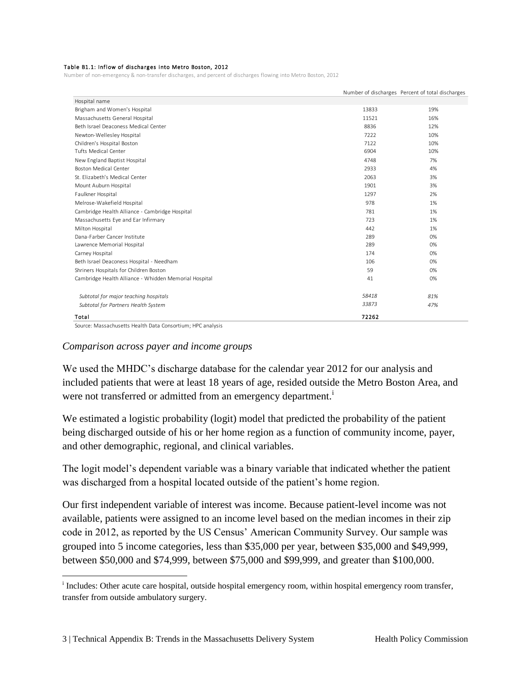#### Table B1.1: Inflow of discharges into Metro Boston, 2012

Number of non-emergency & non-transfer discharges, and percent of discharges flowing into Metro Boston, 2012

|                                                       |       | Number of discharges Percent of total discharges |
|-------------------------------------------------------|-------|--------------------------------------------------|
| Hospital name                                         |       |                                                  |
| Brigham and Women's Hospital                          | 13833 | 19%                                              |
| Massachusetts General Hospital                        | 11521 | 16%                                              |
| Beth Israel Deaconess Medical Center                  | 8836  | 12%                                              |
| Newton-Wellesley Hospital                             | 7222  | 10%                                              |
| Children's Hospital Boston                            | 7122  | 10%                                              |
| <b>Tufts Medical Center</b>                           | 6904  | 10%                                              |
| New England Baptist Hospital                          | 4748  | 7%                                               |
| <b>Boston Medical Center</b>                          | 2933  | 4%                                               |
| St. Elizabeth's Medical Center                        | 2063  | 3%                                               |
| Mount Auburn Hospital                                 | 1901  | 3%                                               |
| Faulkner Hospital                                     | 1297  | 2%                                               |
| Melrose-Wakefield Hospital                            | 978   | 1%                                               |
| Cambridge Health Alliance - Cambridge Hospital        | 781   | 1%                                               |
| Massachusetts Eye and Ear Infirmary                   | 723   | 1%                                               |
| Milton Hospital                                       | 442   | 1%                                               |
| Dana-Farber Cancer Institute                          | 289   | 0%                                               |
| Lawrence Memorial Hospital                            | 289   | 0%                                               |
| Carney Hospital                                       | 174   | 0%                                               |
| Beth Israel Deaconess Hospital - Needham              | 106   | 0%                                               |
| Shriners Hospitals for Children Boston                | 59    | 0%                                               |
| Cambridge Health Alliance - Whidden Memorial Hospital | 41    | 0%                                               |
| Subtotal for major teaching hospitals                 | 58418 | 81%                                              |
| Subtotal for Partners Health System                   | 33873 | 47%                                              |
| Total                                                 | 72262 |                                                  |

Source: Massachusetts Health Data Consortium; HPC analysis

 $\overline{a}$ 

#### *Comparison across payer and income groups*

We used the MHDC's discharge database for the calendar year 2012 for our analysis and included patients that were at least 18 years of age, resided outside the Metro Boston Area, and were not transferred or admitted from an emergency department.<sup>i</sup>

We estimated a logistic probability (logit) model that predicted the probability of the patient being discharged outside of his or her home region as a function of community income, payer, and other demographic, regional, and clinical variables.

The logit model's dependent variable was a binary variable that indicated whether the patient was discharged from a hospital located outside of the patient's home region.

Our first independent variable of interest was income. Because patient-level income was not available, patients were assigned to an income level based on the median incomes in their zip code in 2012, as reported by the US Census' American Community Survey. Our sample was grouped into 5 income categories, less than \$35,000 per year, between \$35,000 and \$49,999, between \$50,000 and \$74,999, between \$75,000 and \$99,999, and greater than \$100,000.

<sup>&</sup>lt;sup>i</sup> Includes: Other acute care hospital, outside hospital emergency room, within hospital emergency room transfer, transfer from outside ambulatory surgery.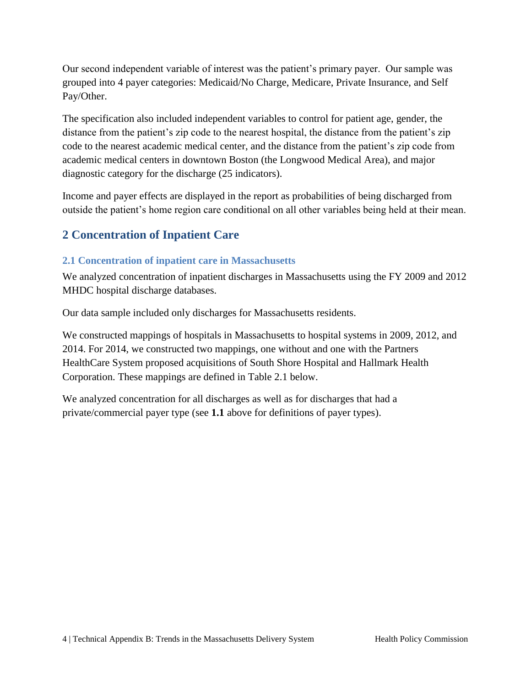Our second independent variable of interest was the patient's primary payer. Our sample was grouped into 4 payer categories: Medicaid/No Charge, Medicare, Private Insurance, and Self Pay/Other.

The specification also included independent variables to control for patient age, gender, the distance from the patient's zip code to the nearest hospital, the distance from the patient's zip code to the nearest academic medical center, and the distance from the patient's zip code from academic medical centers in downtown Boston (the Longwood Medical Area), and major diagnostic category for the discharge (25 indicators).

Income and payer effects are displayed in the report as probabilities of being discharged from outside the patient's home region care conditional on all other variables being held at their mean.

# <span id="page-5-0"></span>**2 Concentration of Inpatient Care**

# <span id="page-5-1"></span>**2.1 Concentration of inpatient care in Massachusetts**

We analyzed concentration of inpatient discharges in Massachusetts using the FY 2009 and 2012 MHDC hospital discharge databases.

Our data sample included only discharges for Massachusetts residents.

We constructed mappings of hospitals in Massachusetts to hospital systems in 2009, 2012, and 2014. For 2014, we constructed two mappings, one without and one with the Partners HealthCare System proposed acquisitions of South Shore Hospital and Hallmark Health Corporation. These mappings are defined in Table 2.1 below.

We analyzed concentration for all discharges as well as for discharges that had a private/commercial payer type (see **1.1** above for definitions of payer types).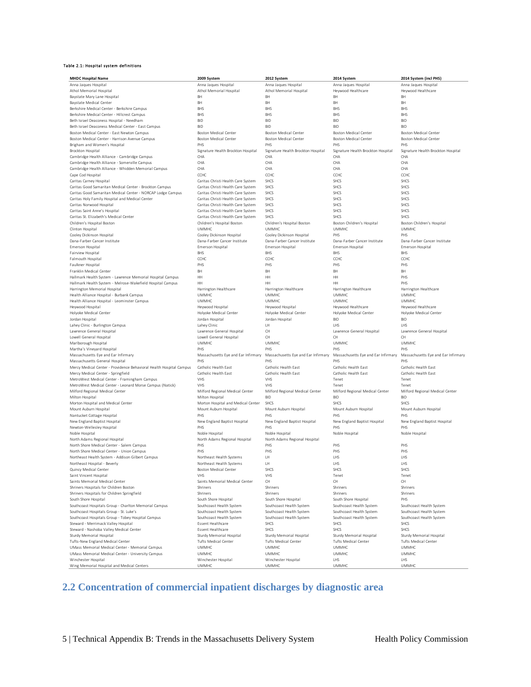#### Table 2.1: Hospital system definitions

| <b>MHDC Hospital Name</b>                                                                     | 2009 System                                          | 2012 System                                          | 2014 System                                          | 2014 System (incl PHS)                               |
|-----------------------------------------------------------------------------------------------|------------------------------------------------------|------------------------------------------------------|------------------------------------------------------|------------------------------------------------------|
| Anna Jaques Hospital                                                                          | Anna Jaques Hospital                                 | Anna Jaques Hospital                                 | Anna Jaques Hospital                                 | Anna Jaques Hospital                                 |
| Athol Memorial Hospital                                                                       | Athol Memorial Hospital                              | Athol Memorial Hospital                              | Heywood Healthcare                                   | Heywood Healthcare                                   |
| Baystate Mary Lane Hospital                                                                   | BH                                                   | BH                                                   | <b>BH</b>                                            | BH                                                   |
| <b>Baystate Medical Center</b>                                                                | BH                                                   | BH                                                   | <b>BH</b>                                            | BH                                                   |
| Berkshire Medical Center - Berkshire Campus                                                   | <b>BHS</b>                                           | <b>BHS</b>                                           | <b>BHS</b>                                           | <b>BHS</b>                                           |
| Berkshire Medical Center - Hillcrest Campus                                                   | <b>BHS</b>                                           | <b>BHS</b>                                           | <b>BHS</b>                                           | <b>BHS</b>                                           |
| Beth Israel Deaconess Hospital - Needham                                                      | <b>BID</b>                                           | <b>BID</b>                                           | <b>BID</b>                                           | <b>BID</b>                                           |
| Beth Israel Deaconess Medical Center - East Campus                                            | <b>BID</b>                                           | <b>BID</b>                                           | <b>BID</b>                                           | <b>BID</b>                                           |
| Boston Medical Center - East Newton Campus                                                    | <b>Boston Medical Center</b>                         | <b>Boston Medical Center</b>                         | <b>Boston Medical Center</b>                         | <b>Boston Medical Center</b>                         |
| Boston Medical Center - Harrison Avenue Campus                                                | <b>Boston Medical Center</b>                         | <b>Boston Medical Center</b>                         | <b>Boston Medical Center</b>                         | <b>Boston Medical Center</b>                         |
| Brigham and Women's Hospital                                                                  | PHS                                                  | PHS                                                  | PHS                                                  | PHS                                                  |
| Brockton Hospital                                                                             | Signature Health Brockton Hospital                   | Signature Health Brockton Hospital                   | Signature Health Brockton Hospital                   | Signature Health Brockton Hospital                   |
| Cambridge Health Alliance - Cambridge Campus                                                  | CHA                                                  | CHA                                                  | CHA                                                  | CHA                                                  |
| Cambridge Health Alliance - Somerville Campus                                                 | CHA                                                  | CHA                                                  | CHA                                                  | CHA                                                  |
| Cambridge Health Alliance - Whidden Memorial Campus                                           | CHA                                                  | CHA                                                  | CHA                                                  | CHA                                                  |
| Cape Cod Hospital                                                                             | CCHC                                                 | CCHC                                                 | CCHC                                                 | CCHC                                                 |
| Caritas Carney Hospital                                                                       | Caritas Christi Health Care System                   | SHCS                                                 | SHCS                                                 | SHCS                                                 |
| Caritas Good Samaritan Medical Center - Brockton Campus                                       | Caritas Christi Health Care System                   | SHCS                                                 | SHCS                                                 | SHCS                                                 |
| Caritas Good Samaritan Medical Center - NORCAP Lodge Campus                                   | Caritas Christi Health Care System                   | SHCS                                                 | SHCS                                                 | SHCS                                                 |
| Caritas Holy Family Hospital and Medical Center                                               | Caritas Christi Health Care System                   | SHCS                                                 | SHCS                                                 | SHCS                                                 |
| Caritas Norwood Hospital                                                                      | Caritas Christi Health Care System                   | SHCS                                                 | <b>SHCS</b>                                          | SHCS                                                 |
| Caritas Saint Anne's Hospital                                                                 | Caritas Christi Health Care System                   | <b>SHCS</b>                                          | <b>SHCS</b>                                          | <b>SHCS</b>                                          |
| Caritas St. Elizabeth's Medical Center                                                        | Caritas Christi Health Care System                   | SHCS                                                 | SHCS                                                 | SHCS                                                 |
| Children's Hospital Boston                                                                    | Children's Hospital Boston                           | Children's Hospital Boston                           | Boston Children's Hospital                           | Boston Children's Hospital                           |
| Clinton Hospital                                                                              | <b>UMMHC</b>                                         | <b>UMMHC</b>                                         | <b>UMMHC</b>                                         | <b>UMMHC</b>                                         |
| Cooley Dickinson Hospital                                                                     | Cooley Dickinson Hospital                            | Cooley Dickinson Hospital                            | PHS                                                  | PHS                                                  |
| Dana-Farber Cancer Institute                                                                  | Dana-Farber Cancer Institute                         | Dana-Farber Cancer Institute                         | Dana-Farber Cancer Institute                         | Dana-Farber Cancer Institute                         |
| Emerson Hospital                                                                              | Emerson Hospital                                     | Emerson Hospital                                     | Emerson Hospital                                     | Emerson Hospital                                     |
| Fairview Hospital                                                                             | <b>BHS</b>                                           | <b>BHS</b>                                           | <b>BHS</b>                                           | <b>BHS</b>                                           |
| Falmouth Hospital                                                                             | CCHC                                                 | CCHC                                                 | CCHC                                                 | CCHC                                                 |
| Faulkner Hospital                                                                             | PHS                                                  | PHS                                                  | PHS                                                  | PHS                                                  |
| Franklin Medical Center                                                                       | BH                                                   | BH                                                   | BH                                                   | BH                                                   |
| Hallmark Health System - Lawrence Memorial Hospital Campus                                    | HH                                                   | HH                                                   | HH                                                   | PHS                                                  |
| Hallmark Health System - Melrose-Wakefield Hospital Campus                                    | HH                                                   | HH                                                   | HH                                                   | PHS                                                  |
| Harrington Memorial Hospital                                                                  | Harrington Healthcare                                | Harrington Healthcare                                | Harrington Healthcare                                | Harrington Healthcare                                |
| Health Alliance Hospital - Burbank Campus                                                     | <b>UMMHC</b>                                         | <b>UMMHC</b>                                         | <b>UMMHC</b>                                         | <b>UMMHC</b>                                         |
| Health Alliance Hospital - Leominster Campus                                                  | <b>UMMHC</b>                                         | <b>UMMHC</b>                                         | <b>UMMHC</b>                                         | <b>UMMHC</b>                                         |
| Heywood Hospital                                                                              | Heywood Hospital                                     | Heywood Hospital                                     | Heywood Healthcare                                   | Heywood Healthcare                                   |
| Holyoke Medical Center                                                                        | Holyoke Medical Center                               | Holyoke Medical Center                               | Holyoke Medical Center                               | Holyoke Medical Center                               |
| Jordan Hospital                                                                               | Jordan Hospital                                      | Jordan Hospital                                      | <b>BID</b>                                           | <b>BID</b>                                           |
| Lahey Clinic - Burlington Campus                                                              | Lahey Clinic                                         | LH                                                   | LHS                                                  | LHS                                                  |
| Lawrence General Hospital                                                                     | Lawrence General Hospital                            | CH                                                   | Lawrence General Hospital                            | Lawrence General Hospital                            |
| Lowell General Hospital                                                                       | Lowell General Hospital                              | CH                                                   | CH                                                   | <b>CH</b>                                            |
| Marlborough Hospital                                                                          | <b>UMMHC</b>                                         | <b>UMMHC</b>                                         | <b>UMMHC</b>                                         | <b>UMMHC</b>                                         |
| Martha's Vineyard Hospital                                                                    | PHS                                                  | PHS                                                  | PHS                                                  | PHS                                                  |
| Massachusetts Eye and Ear Infirmary                                                           | Massachusetts Eye and Ear Infirmary                  | Massachusetts Eye and Ear Infirmary                  | Massachusetts Eye and Ear Infirmary                  | Massachusetts Eye and Ear Infirmary                  |
| Massachusetts General Hospital                                                                | PHS                                                  | PHS                                                  | PHS                                                  | PHS                                                  |
| Mercy Medical Center - Providence Behavioral Health Hospital Campus                           | Catholic Health East                                 | Catholic Health East                                 | Catholic Health East                                 | Catholic Health East                                 |
| Mercy Medical Center - Springfield                                                            | Catholic Health East                                 | Catholic Health East                                 | Catholic Health East                                 | Catholic Health East                                 |
| MetroWest Medical Center - Framingham Campus                                                  | VHS                                                  | VHS                                                  | Tenet                                                | Tenet                                                |
| MetroWest Medical Center - Leonard Morse Campus (Natick)                                      | VHS                                                  | VHS                                                  | Tenet                                                | Tenet                                                |
| Milford Regional Medical Center                                                               | Milford Regional Medical Center                      | Milford Regional Medical Center                      | Milford Regional Medical Center                      | Milford Regional Medical Center                      |
| Milton Hospital                                                                               | Milton Hospital                                      | <b>BID</b>                                           | <b>BID</b>                                           | <b>BID</b>                                           |
| Morton Hospital and Medical Center                                                            | Morton Hospital and Medical Center                   | SHCS                                                 | SHCS                                                 | SHCS                                                 |
| Mount Auburn Hospital                                                                         | Mount Auburn Hospital                                | Mount Auburn Hospital                                | Mount Auburn Hospital                                | Mount Auburn Hospital                                |
| Nantucket Cottage Hospital                                                                    | PHS                                                  | PHS                                                  | PHS                                                  | PHS                                                  |
| New England Baptist Hospital                                                                  | New England Baptist Hospital                         | New England Baptist Hospital                         | New England Baptist Hospital                         | New England Baptist Hospital                         |
| Newton-Wellesley Hospital                                                                     | PHS                                                  | PHS                                                  | PHS                                                  | PHS                                                  |
| Noble Hospital<br>North Adams Regional Hospital                                               | Noble Hospital                                       | Noble Hospital                                       | Noble Hospital                                       | Noble Hospital                                       |
| North Shore Medical Center - Salem Campus                                                     | North Adams Regional Hospital<br>PHS                 | North Adams Regional Hospital<br>PHS                 |                                                      | PHS                                                  |
| North Shore Medical Center - Union Campus                                                     | PHS                                                  | PHS                                                  | PHS<br>PHS                                           | PHS                                                  |
|                                                                                               |                                                      |                                                      |                                                      |                                                      |
| Northeast Health System - Addison Gilbert Campus                                              | Northeast Health Systems<br>Northeast Health Systems | LH<br>TH.                                            | LHS<br><b>IHS</b>                                    | LHS<br><b>IHS</b>                                    |
| Northeast Hospital - Beverly                                                                  | <b>Boston Medical Center</b>                         | SHCS                                                 | SHCS                                                 | SHCS                                                 |
| Quincy Medical Center<br>Saint Vincent Hospital                                               | <b>VHS</b>                                           |                                                      |                                                      |                                                      |
| Saints Memorial Medical Center                                                                | Saints Memorial Medical Center                       | VHS<br>CH                                            | Tenet<br>CH                                          | Tenet<br>CH                                          |
|                                                                                               |                                                      |                                                      |                                                      |                                                      |
| Shriners Hospitals for Children Boston                                                        | Shriners                                             | Shriners                                             | Shriners                                             | Shriners                                             |
| Shriners Hospitals for Children Springfield<br>South Shore Hospital                           | Shriners<br>South Shore Hospital                     | Shriners<br>South Shore Hospital                     | Shriners<br>South Shore Hospital                     | Shriners<br>PHS                                      |
| Southcoast Hospitals Group - Charlton Memorial Campus                                         |                                                      | Southcoast Health System                             | Southcoast Health System                             | Southcoast Health System                             |
|                                                                                               | Southcoast Health System                             |                                                      |                                                      |                                                      |
| Southcoast Hospitals Group - St. Luke's<br>Southcoast Hospitals Group - Tobey Hospital Campus | Southcoast Health System<br>Southcoast Health System | Southcoast Health System<br>Southcoast Health System | Southcoast Health System<br>Southcoast Health System | Southcoast Health System<br>Southcoast Health System |
| Steward - Merrimack Valley Hospital                                                           | Essent Healthcare                                    | SHCS                                                 | <b>SHCS</b>                                          | SHCS                                                 |
| Steward - Nashoba Valley Medical Center                                                       | Essent Healthcare                                    | SHCS                                                 | SHCS                                                 | SHCS                                                 |
| Sturdy Memorial Hospital                                                                      | Sturdy Memorial Hospital                             | Sturdy Memorial Hospital                             | Sturdy Memorial Hospital                             | Sturdy Memorial Hospital                             |
| Tufts-New England Medical Center                                                              | <b>Tufts Medical Center</b>                          | <b>Tufts Medical Center</b>                          | Tufts Medical Center                                 | <b>Tufts Medical Center</b>                          |
| UMass Memorial Medical Center - Memorial Campus                                               | <b>UMMHC</b>                                         | <b>UMMHC</b>                                         | <b>UMMHC</b>                                         | <b>UMMHC</b>                                         |
| UMass Memorial Medical Center - University Campus                                             | <b>UMMHC</b>                                         | <b>UMMHC</b>                                         | <b>UMMHC</b>                                         | <b>UMMHC</b>                                         |
| Winchester Hospital                                                                           | Winchester Hospital                                  | Winchester Hospital                                  | LHS                                                  | LHS                                                  |
| Wing Memorial Hospital and Medical Centers                                                    | <b>UMMHC</b>                                         | <b>UMMHC</b>                                         | <b>UMMHC</b>                                         | <b>UMMHC</b>                                         |

# <span id="page-6-0"></span>**2.2 Concentration of commercial inpatient discharges by diagnostic area**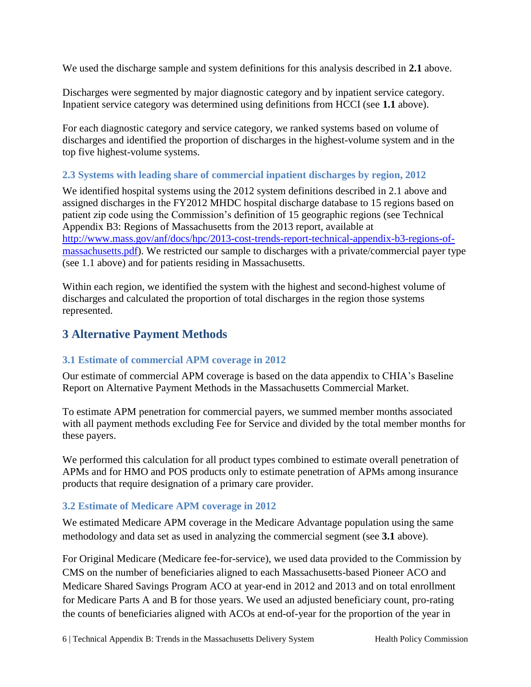We used the discharge sample and system definitions for this analysis described in **2.1** above.

Discharges were segmented by major diagnostic category and by inpatient service category. Inpatient service category was determined using definitions from HCCI (see **1.1** above).

For each diagnostic category and service category, we ranked systems based on volume of discharges and identified the proportion of discharges in the highest-volume system and in the top five highest-volume systems.

# <span id="page-7-0"></span>**2.3 Systems with leading share of commercial inpatient discharges by region, 2012**

We identified hospital systems using the 2012 system definitions described in 2.1 above and assigned discharges in the FY2012 MHDC hospital discharge database to 15 regions based on patient zip code using the Commission's definition of 15 geographic regions (see Technical Appendix B3: Regions of Massachusetts from the 2013 report, available at [http://www.mass.gov/anf/docs/hpc/2013-cost-trends-report-technical-appendix-b3-regions-of](http://www.mass.gov/anf/docs/hpc/2013-cost-trends-report-technical-appendix-b3-regions-of-massachusetts.pdf)[massachusetts.pdf\)](http://www.mass.gov/anf/docs/hpc/2013-cost-trends-report-technical-appendix-b3-regions-of-massachusetts.pdf). We restricted our sample to discharges with a private/commercial payer type (see 1.1 above) and for patients residing in Massachusetts.

Within each region, we identified the system with the highest and second-highest volume of discharges and calculated the proportion of total discharges in the region those systems represented.

# <span id="page-7-1"></span>**3 Alternative Payment Methods**

# <span id="page-7-2"></span>**3.1 Estimate of commercial APM coverage in 2012**

Our estimate of commercial APM coverage is based on the data appendix to CHIA's Baseline Report on Alternative Payment Methods in the Massachusetts Commercial Market.

To estimate APM penetration for commercial payers, we summed member months associated with all payment methods excluding Fee for Service and divided by the total member months for these payers.

We performed this calculation for all product types combined to estimate overall penetration of APMs and for HMO and POS products only to estimate penetration of APMs among insurance products that require designation of a primary care provider.

## <span id="page-7-3"></span>**3.2 Estimate of Medicare APM coverage in 2012**

We estimated Medicare APM coverage in the Medicare Advantage population using the same methodology and data set as used in analyzing the commercial segment (see **3.1** above).

For Original Medicare (Medicare fee-for-service), we used data provided to the Commission by CMS on the number of beneficiaries aligned to each Massachusetts-based Pioneer ACO and Medicare Shared Savings Program ACO at year-end in 2012 and 2013 and on total enrollment for Medicare Parts A and B for those years. We used an adjusted beneficiary count, pro-rating the counts of beneficiaries aligned with ACOs at end-of-year for the proportion of the year in

6 | Technical Appendix B: Trends in the Massachusetts Delivery System Health Policy Commission